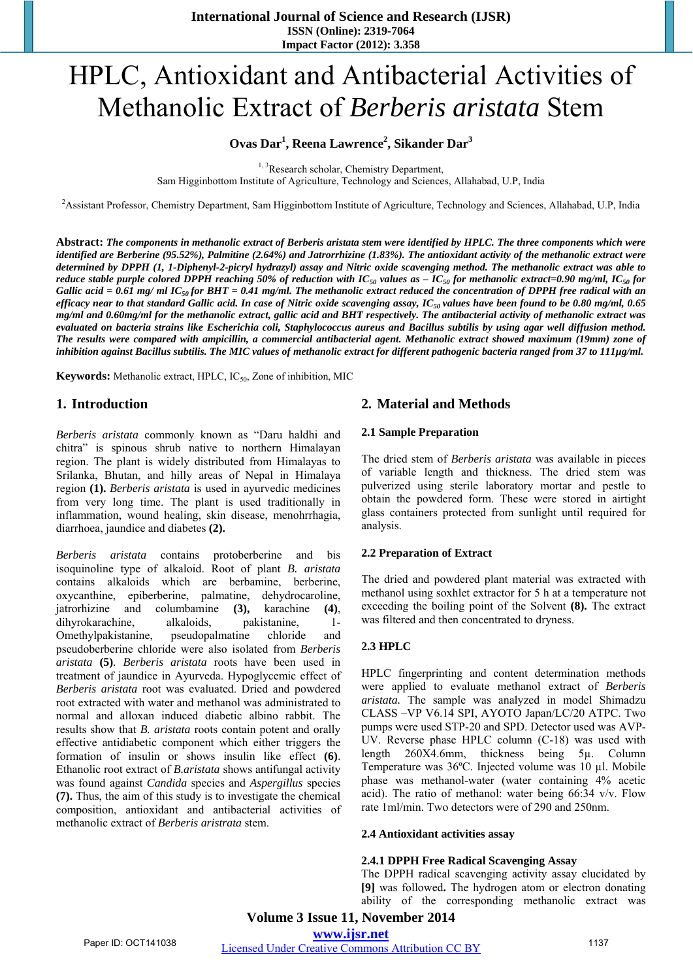# HPLC, Antioxidant and Antibacterial Activities of Methanolic Extract of *Berberis aristata* Stem

# **Ovas Dar1 , Reena Lawrence2 , Sikander Dar<sup>3</sup>**

<sup>1, 3</sup>Research scholar, Chemistry Department, Sam Higginbottom Institute of Agriculture, Technology and Sciences, Allahabad, U.P, India

2 Assistant Professor, Chemistry Department, Sam Higginbottom Institute of Agriculture, Technology and Sciences, Allahabad, U.P, India

**Abstract:** *The components in methanolic extract of Berberis aristata stem were identified by HPLC. The three components which were identified are Berberine (95.52%), Palmitine (2.64%) and Jatrorrhizine (1.83%). The antioxidant activity of the methanolic extract were determined by DPPH (1, 1-Diphenyl-2-picryl hydrazyl) assay and Nitric oxide scavenging method. The methanolic extract was able to reduce stable purple colored DPPH reaching 50% of reduction with IC<sub>50</sub> values as*  $-IC_{50}$  *for methanolic extract=0.90 mg/ml, IC<sub>50</sub> for Gallic acid = 0.61 mg/ ml IC<sub>50</sub> for BHT = 0.41 mg/ml. The methanolic extract reduced the concentration of DPPH free radical with an efficacy near to that standard Gallic acid. In case of Nitric oxide scavenging assay, IC50 values have been found to be 0.80 mg/ml, 0.65 mg/ml and 0.60mg/ml for the methanolic extract, gallic acid and BHT respectively. The antibacterial activity of methanolic extract was evaluated on bacteria strains like Escherichia coli, Staphylococcus aureus and Bacillus subtilis by using agar well diffusion method. The results were compared with ampicillin, a commercial antibacterial agent. Methanolic extract showed maximum (19mm) zone of inhibition against Bacillus subtilis. The MIC values of methanolic extract for different pathogenic bacteria ranged from 37 to 111µg/ml.* 

**Keywords:** Methanolic extract, HPLC, IC<sub>50</sub>, Zone of inhibition, MIC

# **1. Introduction**

*Berberis aristata* commonly known as "Daru haldhi and chitra" is spinous shrub native to northern Himalayan region. The plant is widely distributed from Himalayas to Srilanka, Bhutan, and hilly areas of Nepal in Himalaya region **(1).** *Berberis aristata* is used in ayurvedic medicines from very long time. The plant is used traditionally in inflammation, wound healing, skin disease, menohrrhagia, diarrhoea, jaundice and diabetes **(2).**

*Berberis aristata* contains protoberberine and bis isoquinoline type of alkaloid. Root of plant *B. aristata*  contains alkaloids which are berbamine, berberine, oxycanthine, epiberberine, palmatine, dehydrocaroline, jatrorhizine and columbamine **(3),** karachine **(4)**, dihyrokarachine, alkaloids, pakistanine, 1- Omethylpakistanine, pseudopalmatine chloride and pseudoberberine chloride were also isolated from *Berberis aristata* **(5)***. Berberis aristata* roots have been used in treatment of jaundice in Ayurveda. Hypoglycemic effect of *Berberis aristata* root was evaluated. Dried and powdered root extracted with water and methanol was administrated to normal and alloxan induced diabetic albino rabbit. The results show that *B. aristata* roots contain potent and orally effective antidiabetic component which either triggers the formation of insulin or shows insulin like effect **(6)**. Ethanolic root extract of *B.aristata* shows antifungal activity was found against *Candida* species and *Aspergillus* species **(7).** Thus, the aim of this study is to investigate the chemical composition, antioxidant and antibacterial activities of methanolic extract of *Berberis aristrata* stem.

# **2. Material and Methods**

#### **2.1 Sample Preparation**

The dried stem of *Berberis aristata* was available in pieces of variable length and thickness. The dried stem was pulverized using sterile laboratory mortar and pestle to obtain the powdered form. These were stored in airtight glass containers protected from sunlight until required for analysis.

#### **2.2 Preparation of Extract**

The dried and powdered plant material was extracted with methanol using soxhlet extractor for 5 h at a temperature not exceeding the boiling point of the Solvent **(8).** The extract was filtered and then concentrated to dryness.

## **2.3 HPLC**

HPLC fingerprinting and content determination methods were applied to evaluate methanol extract of *Berberis aristata.* The sample was analyzed in model Shimadzu CLASS –VP V6.14 SPI, AYOTO Japan/LC/20 ATPC. Two pumps were used STP-20 and SPD. Detector used was AVP-UV. Reverse phase HPLC column (C-18) was used with length 260X4.6mm, thickness being 5µ. Column Temperature was 36ºC. Injected volume was 10 µl. Mobile phase was methanol-water (water containing 4% acetic acid). The ratio of methanol: water being 66:34 v/v. Flow rate 1ml/min. Two detectors were of 290 and 250nm.

#### **2.4 Antioxidant activities assay**

#### **2.4.1 DPPH Free Radical Scavenging Assay**

The DPPH radical scavenging activity assay elucidated by **[9]** was followed**.** The hydrogen atom or electron donating ability of the corresponding methanolic extract was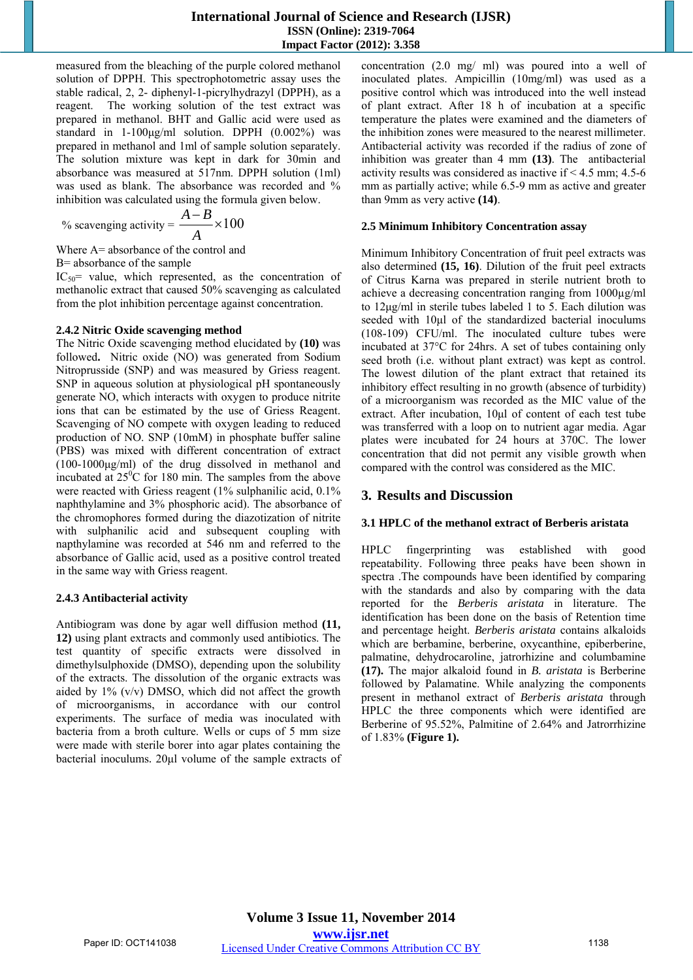measured from the bleaching of the purple colored methanol solution of DPPH. This spectrophotometric assay uses the stable radical, 2, 2- diphenyl-1-picrylhydrazyl (DPPH), as a reagent. The working solution of the test extract was prepared in methanol. BHT and Gallic acid were used as standard in 1-100μg/ml solution. DPPH (0.002%) was prepared in methanol and 1ml of sample solution separately. The solution mixture was kept in dark for 30min and absorbance was measured at 517nm. DPPH solution (1ml) was used as blank. The absorbance was recorded and % inhibition was calculated using the formula given below.

% scavenging activity = 
$$
\frac{A-B}{A} \times 100
$$

Where A= absorbance of the control and

B= absorbance of the sample

 $IC_{50}$  value, which represented, as the concentration of methanolic extract that caused 50% scavenging as calculated from the plot inhibition percentage against concentration.

#### **2.4.2 Nitric Oxide scavenging method**

The Nitric Oxide scavenging method elucidated by **(10)** was followed**.** Nitric oxide (NO) was generated from Sodium Nitroprusside (SNP) and was measured by Griess reagent. SNP in aqueous solution at physiological pH spontaneously generate NO, which interacts with oxygen to produce nitrite ions that can be estimated by the use of Griess Reagent. Scavenging of NO compete with oxygen leading to reduced production of NO. SNP (10mM) in phosphate buffer saline (PBS) was mixed with different concentration of extract (100-1000μg/ml) of the drug dissolved in methanol and incubated at  $25\degree$ C for 180 min. The samples from the above were reacted with Griess reagent (1% sulphanilic acid, 0.1%) naphthylamine and 3% phosphoric acid). The absorbance of the chromophores formed during the diazotization of nitrite with sulphanilic acid and subsequent coupling with napthylamine was recorded at 546 nm and referred to the absorbance of Gallic acid, used as a positive control treated in the same way with Griess reagent.

## **2.4.3 Antibacterial activity**

Antibiogram was done by agar well diffusion method **(11, 12)** using plant extracts and commonly used antibiotics. The test quantity of specific extracts were dissolved in dimethylsulphoxide (DMSO), depending upon the solubility of the extracts. The dissolution of the organic extracts was aided by 1% (v/v) DMSO, which did not affect the growth of microorganisms, in accordance with our control experiments. The surface of media was inoculated with bacteria from a broth culture. Wells or cups of 5 mm size were made with sterile borer into agar plates containing the bacterial inoculums. 20μl volume of the sample extracts of concentration (2.0 mg/ ml) was poured into a well of inoculated plates. Ampicillin (10mg/ml) was used as a positive control which was introduced into the well instead of plant extract. After 18 h of incubation at a specific temperature the plates were examined and the diameters of the inhibition zones were measured to the nearest millimeter. Antibacterial activity was recorded if the radius of zone of inhibition was greater than 4 mm **(13)**. The antibacterial activity results was considered as inactive if < 4.5 mm; 4.5-6 mm as partially active; while 6.5-9 mm as active and greater than 9mm as very active **(14)**.

#### **2.5 Minimum Inhibitory Concentration assay**

Minimum Inhibitory Concentration of fruit peel extracts was also determined **(15, 16)**. Dilution of the fruit peel extracts of Citrus Karna was prepared in sterile nutrient broth to achieve a decreasing concentration ranging from 1000µg/ml to 12μg/ml in sterile tubes labeled 1 to 5. Each dilution was seeded with 10μl of the standardized bacterial inoculums (108-109) CFU/ml. The inoculated culture tubes were incubated at 37°C for 24hrs. A set of tubes containing only seed broth (i.e. without plant extract) was kept as control. The lowest dilution of the plant extract that retained its inhibitory effect resulting in no growth (absence of turbidity) of a microorganism was recorded as the MIC value of the extract. After incubation, 10μl of content of each test tube was transferred with a loop on to nutrient agar media. Agar plates were incubated for 24 hours at 370C. The lower concentration that did not permit any visible growth when compared with the control was considered as the MIC.

## **3. Results and Discussion**

#### **3.1 HPLC of the methanol extract of Berberis aristata**

HPLC fingerprinting was established with good repeatability. Following three peaks have been shown in spectra .The compounds have been identified by comparing with the standards and also by comparing with the data reported for the *Berberis aristata* in literature. The identification has been done on the basis of Retention time and percentage height. *Berberis aristata* contains alkaloids which are berbamine, berberine, oxycanthine, epiberberine, palmatine, dehydrocaroline, jatrorhizine and columbamine **(17).** The major alkaloid found in *B. aristata* is Berberine followed by Palamatine. While analyzing the components present in methanol extract of *Berberis aristata* through HPLC the three components which were identified are Berberine of 95.52%, Palmitine of 2.64% and Jatrorrhizine of 1.83% **(Figure 1).**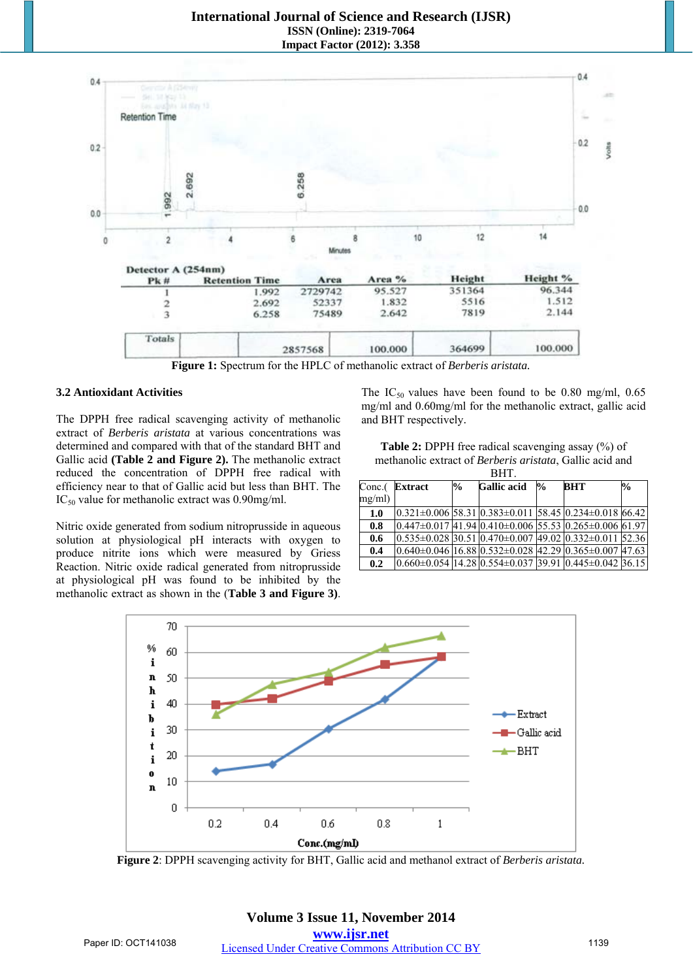## **International Journal of Science and Research (IJSR) ISSN (Online): 2319-7064 Impact Factor (2012): 3.358**



**Figure 1:** Spectrum for the HPLC of methanolic extract of *Berberis aristata.*

#### **3.2 Antioxidant Activities**

The DPPH free radical scavenging activity of methanolic extract of *Berberis aristata* at various concentrations was determined and compared with that of the standard BHT and Gallic acid **(Table 2 and Figure 2).** The methanolic extract reduced the concentration of DPPH free radical with efficiency near to that of Gallic acid but less than BHT. The IC<sub>50</sub> value for methanolic extract was 0.90mg/ml.

Nitric oxide generated from sodium nitroprusside in aqueous solution at physiological pH interacts with oxygen to produce nitrite ions which were measured by Griess Reaction. Nitric oxide radical generated from nitroprusside at physiological pH was found to be inhibited by the methanolic extract as shown in the (**Table 3 and Figure 3)**. The IC<sub>50</sub> values have been found to be 0.80 mg/ml, 0.65 mg/ml and 0.60mg/ml for the methanolic extract, gallic acid and BHT respectively.

| <b>Table 2:</b> DPPH free radical scavenging assay $(\%)$ of     |
|------------------------------------------------------------------|
| methanolic extract of <i>Berberis aristata</i> , Gallic acid and |
| BHT.                                                             |

| $Conc.$ (<br>mg/ml) | <b>Extract</b>                                                            | $\%$ | <b>Gallic</b> acid | $\frac{1}{2}$ | <b>BHT</b> | $\frac{1}{2}$ |
|---------------------|---------------------------------------------------------------------------|------|--------------------|---------------|------------|---------------|
| 1.0                 | $0.321 \pm 0.006$ 58.31 $0.383 \pm 0.011$ 58.45 $0.234 \pm 0.018$ 66.42   |      |                    |               |            |               |
| 0.8                 | $[0.447\pm0.017]$ $41.94$ $[0.410\pm0.006]$ 55.53 $[0.265\pm0.006]$ 61.97 |      |                    |               |            |               |
| 0.6                 | $0.535\pm0.028$ 30.51 $0.470\pm0.007$ 49.02 $0.332\pm0.011$ 52.36         |      |                    |               |            |               |
| 0.4                 | $0.640\pm0.046$ 16.88 $0.532\pm0.028$ 42.29 $0.365\pm0.007$ 47.63         |      |                    |               |            |               |
| 0.2                 | $0.660\pm0.054$ 14.28 $0.554\pm0.037$ 39.91 $0.445\pm0.042$ 36.15         |      |                    |               |            |               |



**Figure 2**: DPPH scavenging activity for BHT, Gallic acid and methanol extract of *Berberis aristata.*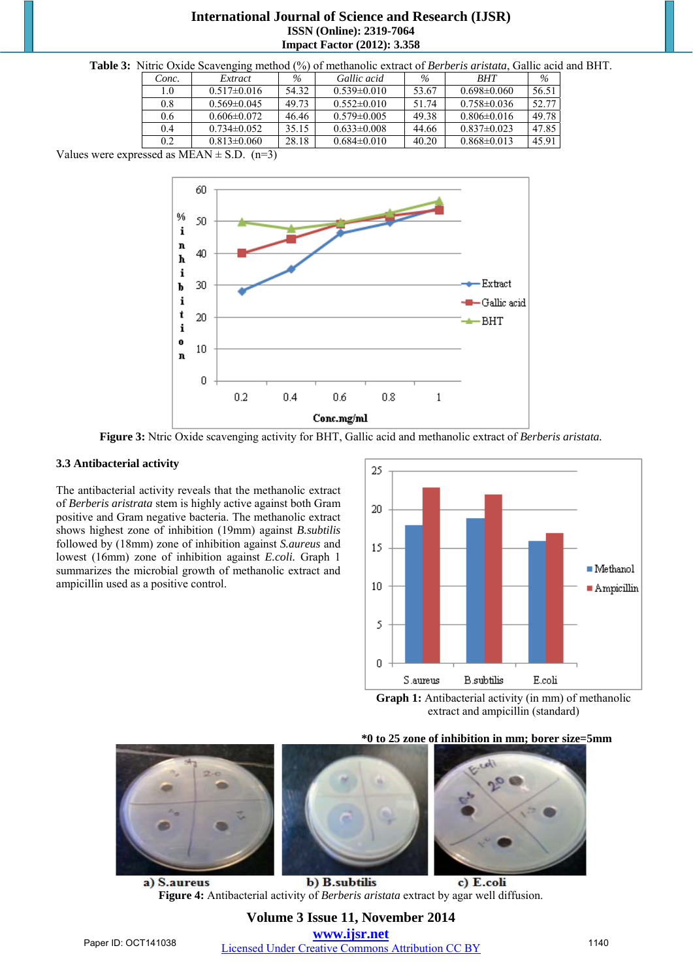## **International Journal of Science and Research (IJSR) ISSN (Online): 2319-7064 Impact Factor (2012): 3.358**

| Table 3: Nitric Oxide Scavenging method (%) of methanolic extract of Berberis aristata, Gallic acid and BHT. |  |  |
|--------------------------------------------------------------------------------------------------------------|--|--|
|--------------------------------------------------------------------------------------------------------------|--|--|

| Conc. | Extract           | $\%$  | Gallic acid       | $\%$  | <b>BHT</b>        | $\%$  |
|-------|-------------------|-------|-------------------|-------|-------------------|-------|
| 1.0   | $0.517 \pm 0.016$ | 54.32 | $0.539 \pm 0.010$ | 53.67 | $0.698 \pm 0.060$ | 56.51 |
| 0.8   | $0.569 \pm 0.045$ | 49.73 | $0.552\pm0.010$   | 51.74 | $0.758 \pm 0.036$ | 52.77 |
| 0.6   | $0.606 \pm 0.072$ | 46.46 | $0.579 \pm 0.005$ | 49.38 | $0.806 \pm 0.016$ | 49.78 |
| 0.4   | $0.734\pm0.052$   | 35.15 | $0.633\pm0.008$   | 44.66 | $0.837 \pm 0.023$ | 47.85 |
| 0.2   | $0.813 \pm 0.060$ | 28.18 | $0.684 \pm 0.010$ | 40.20 | $0.868 \pm 0.013$ | 45.91 |

Values were expressed as  $MEAN \pm S.D.$  (n=3)



**Figure 3:** Ntric Oxide scavenging activity for BHT, Gallic acid and methanolic extract of *Berberis aristata.*

#### **3.3 Antibacterial activity**

The antibacterial activity reveals that the methanolic extract of *Berberis aristrata* stem is highly active against both Gram positive and Gram negative bacteria. The methanolic extract shows highest zone of inhibition (19mm) against *B.subtilis* followed by (18mm) zone of inhibition against *S.aureus* and lowest (16mm) zone of inhibition against *E.coli.* Graph 1 summarizes the microbial growth of methanolic extract and ampicillin used as a positive control.





**\*0 to 25 zone of inhibition in mm; borer size=5mm** 



a) S.aureus b) B.subtilis c) E.coli **Figure 4:** Antibacterial activity of *Berberis aristata* extract by agar well diffusion.